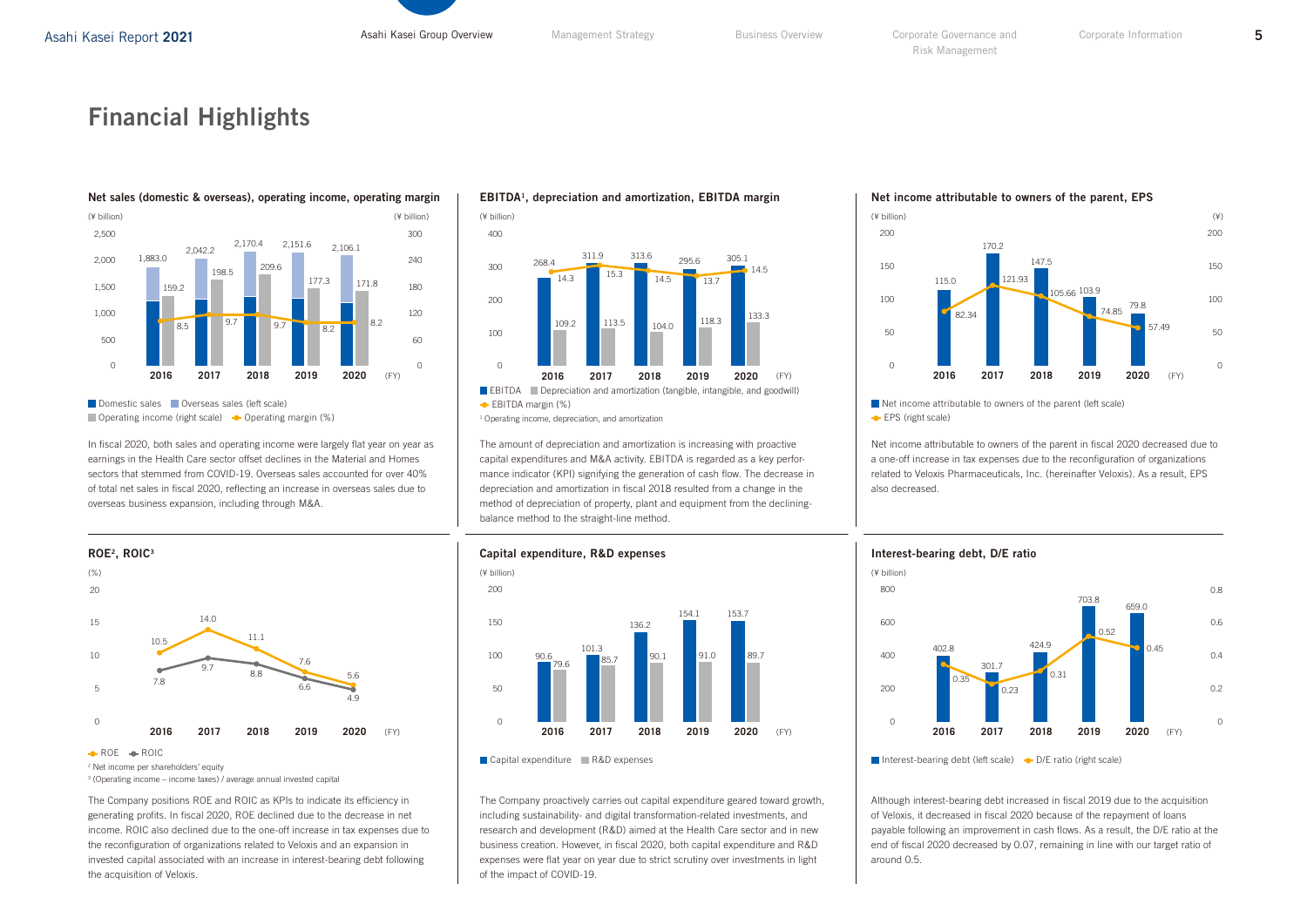# Financial Highlights



Domestic sales Overseas sales (left scale) Operating income (right scale)  $\bullet$  Operating margin (%)

In fiscal 2020, both sales and operating income were largely flat year on year as earnings in the Health Care sector offset declines in the Material and Homes sectors that stemmed from COVID-19. Overseas sales accounted for over 40% of total net sales in fiscal 2020, reflecting an increase in overseas sales due to overseas business expansion, including through M&A.



ROE ROIC

<sup>2</sup> Net income per shareholders' equity

<sup>3</sup> (Operating income – income taxes) / average annual invested capital

The Company positions ROE and ROIC as KPIs to indicate its efficiency in generating profits. In fiscal 2020, ROE declined due to the decrease in net income. ROIC also declined due to the one-off increase in tax expenses due to the reconfiguration of organizations related to Veloxis and an expansion in invested capital associated with an increase in interest-bearing debt following the acquisition of Veloxis.





The amount of depreciation and amortization is increasing with proactive capital expenditures and M&A activity. EBITDA is regarded as a key performance indicator (KPI) signifying the generation of cash flow. The decrease in depreciation and amortization in fiscal 2018 resulted from a change in the method of depreciation of property, plant and equipment from the decliningbalance method to the straight-line method.

Net income attributable to owners of the parent, EPS



Net income attributable to owners of the parent (left scale) **EPS** (right scale)

Net income attributable to owners of the parent in fiscal 2020 decreased due to a one-off increase in tax expenses due to the reconfiguration of organizations related to Veloxis Pharmaceuticals, Inc. (hereinafter Veloxis). As a result, EPS also decreased.



Interest-bearing debt, D/E ratio

Although interest-bearing debt increased in fiscal 2019 due to the acquisition of Veloxis, it decreased in fiscal 2020 because of the repayment of loans payable following an improvement in cash flows. As a result, the D/E ratio at the end of fiscal 2020 decreased by 0.07, remaining in line with our target ratio of around 0.5.



The Company proactively carries out capital expenditure geared toward growth, including sustainability- and digital transformation-related investments, and research and development (R&D) aimed at the Health Care sector and in new business creation. However, in fiscal 2020, both capital expenditure and R&D expenses were flat year on year due to strict scrutiny over investments in light of the impact of COVID-19.

<sup>0.8</sup>  $0.6$  $0.4$  $0.2$  $\Omega$  $0.45$ 659.0  $\Omega$ 200 400 600 800 **2016 2017 2018 2019 2020** 0.35 0.23 0.31 402.8 301.7 424.9 0.52 703.8 (FY) | **2016 2017 2018 2019 2020** (FY)

Interest-bearing debt (left scale)  $\rightarrow$  D/E ratio (right scale)